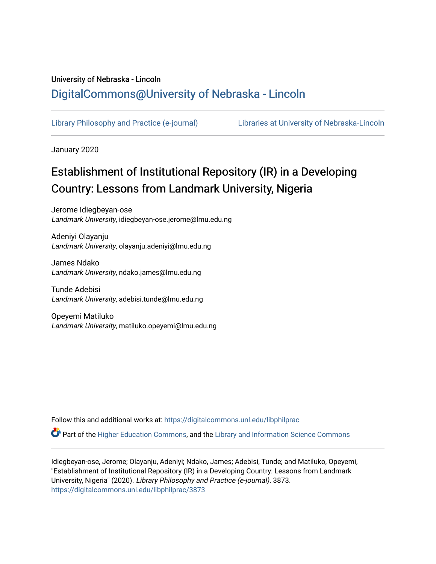## University of Nebraska - Lincoln [DigitalCommons@University of Nebraska - Lincoln](https://digitalcommons.unl.edu/)

[Library Philosophy and Practice \(e-journal\)](https://digitalcommons.unl.edu/libphilprac) [Libraries at University of Nebraska-Lincoln](https://digitalcommons.unl.edu/libraries) 

January 2020

# Establishment of Institutional Repository (IR) in a Developing Country: Lessons from Landmark University, Nigeria

Jerome Idiegbeyan-ose Landmark University, idiegbeyan-ose.jerome@lmu.edu.ng

Adeniyi Olayanju Landmark University, olayanju.adeniyi@lmu.edu.ng

James Ndako Landmark University, ndako.james@lmu.edu.ng

Tunde Adebisi Landmark University, adebisi.tunde@lmu.edu.ng

Opeyemi Matiluko Landmark University, matiluko.opeyemi@lmu.edu.ng

Follow this and additional works at: [https://digitalcommons.unl.edu/libphilprac](https://digitalcommons.unl.edu/libphilprac?utm_source=digitalcommons.unl.edu%2Flibphilprac%2F3873&utm_medium=PDF&utm_campaign=PDFCoverPages) 

Part of the [Higher Education Commons,](http://network.bepress.com/hgg/discipline/1245?utm_source=digitalcommons.unl.edu%2Flibphilprac%2F3873&utm_medium=PDF&utm_campaign=PDFCoverPages) and the [Library and Information Science Commons](http://network.bepress.com/hgg/discipline/1018?utm_source=digitalcommons.unl.edu%2Flibphilprac%2F3873&utm_medium=PDF&utm_campaign=PDFCoverPages) 

Idiegbeyan-ose, Jerome; Olayanju, Adeniyi; Ndako, James; Adebisi, Tunde; and Matiluko, Opeyemi, "Establishment of Institutional Repository (IR) in a Developing Country: Lessons from Landmark University, Nigeria" (2020). Library Philosophy and Practice (e-journal). 3873. [https://digitalcommons.unl.edu/libphilprac/3873](https://digitalcommons.unl.edu/libphilprac/3873?utm_source=digitalcommons.unl.edu%2Flibphilprac%2F3873&utm_medium=PDF&utm_campaign=PDFCoverPages)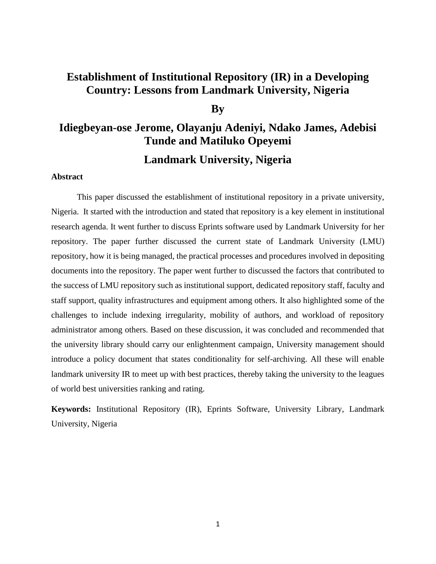## **Establishment of Institutional Repository (IR) in a Developing Country: Lessons from Landmark University, Nigeria**

### **By**

# **Idiegbeyan-ose Jerome, Olayanju Adeniyi, Ndako James, Adebisi Tunde and Matiluko Opeyemi Landmark University, Nigeria**

#### **Abstract**

This paper discussed the establishment of institutional repository in a private university, Nigeria. It started with the introduction and stated that repository is a key element in institutional research agenda. It went further to discuss Eprints software used by Landmark University for her repository. The paper further discussed the current state of Landmark University (LMU) repository, how it is being managed, the practical processes and procedures involved in depositing documents into the repository. The paper went further to discussed the factors that contributed to the success of LMU repository such as institutional support, dedicated repository staff, faculty and staff support, quality infrastructures and equipment among others. It also highlighted some of the challenges to include indexing irregularity, mobility of authors, and workload of repository administrator among others. Based on these discussion, it was concluded and recommended that the university library should carry our enlightenment campaign, University management should introduce a policy document that states conditionality for self-archiving. All these will enable landmark university IR to meet up with best practices, thereby taking the university to the leagues of world best universities ranking and rating.

**Keywords:** Institutional Repository (IR), Eprints Software, University Library, Landmark University, Nigeria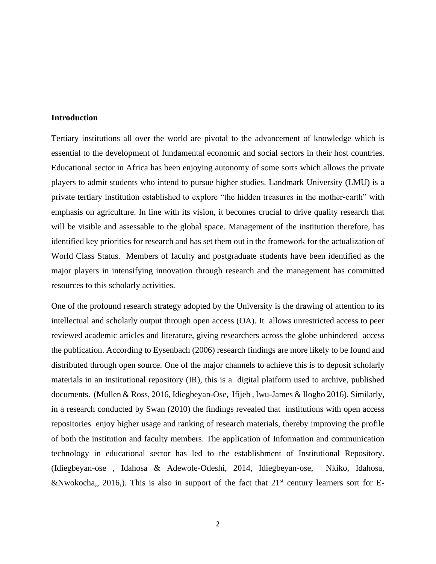#### **Introduction**

Tertiary institutions all over the world are pivotal to the advancement of knowledge which is essential to the development of fundamental economic and social sectors in their host countries. Educational sector in Africa has been enjoying autonomy of some sorts which allows the private players to admit students who intend to pursue higher studies. Landmark University (LMU) is a private tertiary institution established to explore "the hidden treasures in the mother-earth" with emphasis on agriculture. In line with its vision, it becomes crucial to drive quality research that will be visible and assessable to the global space. Management of the institution therefore, has identified key priorities for research and has set them out in the framework for the actualization of World Class Status. Members of faculty and postgraduate students have been identified as the major players in intensifying innovation through research and the management has committed resources to this scholarly activities.

One of the profound research strategy adopted by the University is the drawing of attention to its intellectual and scholarly output through open access (OA). It allows unrestricted access to peer reviewed academic articles and literature, giving researchers across the globe unhindered access the publication. According to Eysenbach (2006) research findings are more likely to be found and distributed through open source. One of the major channels to achieve this is to deposit scholarly materials in an institutional repository (IR), this is a digital platform used to archive, published documents. (Mullen & Ross, 2016, Idiegbeyan-Ose, Ifijeh , Iwu-James & Ilogho 2016). Similarly, in a research conducted by Swan (2010) the findings revealed that institutions with open access repositories enjoy higher usage and ranking of research materials, thereby improving the profile of both the institution and faculty members. The application of Information and communication technology in educational sector has led to the establishment of Institutional Repository. (Idiegbeyan-ose , Idahosa & Adewole-Odeshi, 2014, Idiegbeyan-ose, Nkiko, Idahosa, &Nwokocha,, 2016,). This is also in support of the fact that  $21<sup>st</sup>$  century learners sort for E-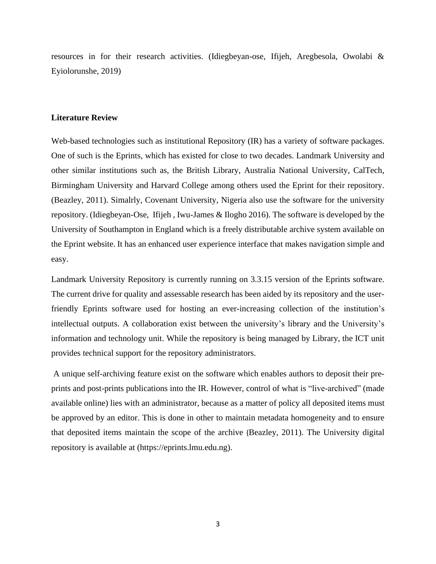resources in for their research activities. (Idiegbeyan-ose, Ifijeh, Aregbesola, Owolabi & Eyiolorunshe, 2019)

#### **Literature Review**

Web-based technologies such as institutional Repository (IR) has a variety of software packages. One of such is the Eprints, which has existed for close to two decades. Landmark University and other similar institutions such as, the British Library, Australia National University, CalTech, Birmingham University and Harvard College among others used the Eprint for their repository. (Beazley, 2011). Simalrly, Covenant University, Nigeria also use the software for the university repository. (Idiegbeyan-Ose, Ifijeh , Iwu-James & Ilogho 2016). The software is developed by the University of Southampton in England which is a freely distributable archive system available on the Eprint website. It has an enhanced user experience interface that makes navigation simple and easy.

Landmark University Repository is currently running on 3.3.15 version of the Eprints software. The current drive for quality and assessable research has been aided by its repository and the userfriendly Eprints software used for hosting an ever-increasing collection of the institution's intellectual outputs. A collaboration exist between the university's library and the University's information and technology unit. While the repository is being managed by Library, the ICT unit provides technical support for the repository administrators.

A unique self-archiving feature exist on the software which enables authors to deposit their preprints and post-prints publications into the IR. However, control of what is "live-archived" (made available online) lies with an administrator, because as a matter of policy all deposited items must be approved by an editor. This is done in other to maintain metadata homogeneity and to ensure that deposited items maintain the scope of the archive (Beazley, 2011). The University digital repository is available at (https://eprints.lmu.edu.ng).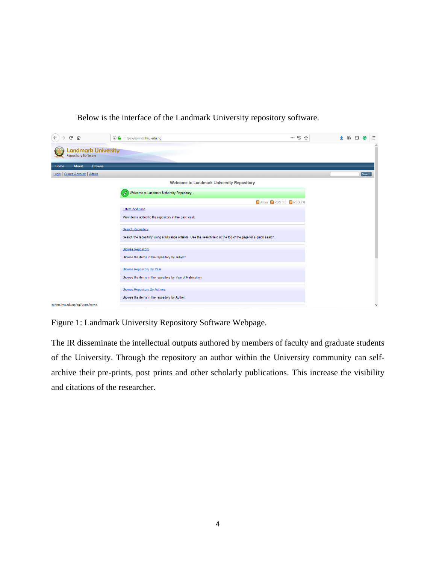

Below is the interface of the Landmark University repository software.

Figure 1: Landmark University Repository Software Webpage.

The IR disseminate the intellectual outputs authored by members of faculty and graduate students of the University. Through the repository an author within the University community can selfarchive their pre-prints, post prints and other scholarly publications. This increase the visibility and citations of the researcher.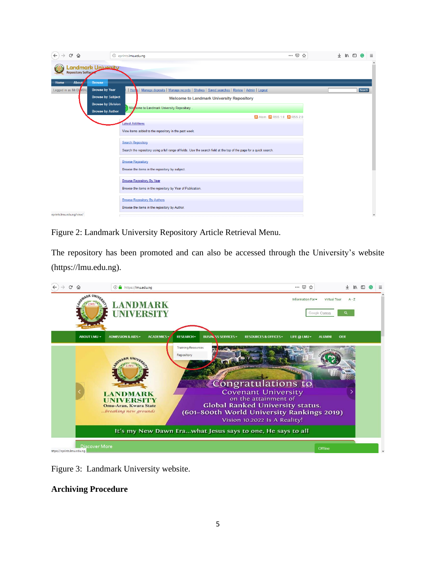| ⋒<br>G                   |                            | … ⊙ ☆<br><sup>1</sup> eprints.lmu.edu.ng                                                                            | 业 | $\mathbb{I}$ |        | Ξ                   |
|--------------------------|----------------------------|---------------------------------------------------------------------------------------------------------------------|---|--------------|--------|---------------------|
| Repository Software      | <b>Landmark University</b> |                                                                                                                     |   |              |        | $\hat{\phantom{a}}$ |
| About<br>Home            | <b>Browse</b>              |                                                                                                                     |   |              |        |                     |
| Logged in as Mr DI SITAL | <b>Browse by Year</b>      | Home   Manage deposits   Manage records   Shelves   Saved searches   Review   Admin   Logout                        |   |              | Search |                     |
|                          | <b>Browse by Subject</b>   | <b>Welcome to Landmark University Repository</b>                                                                    |   |              |        |                     |
|                          | <b>Browse by Division</b>  | We come to Landmark University Repository.                                                                          |   |              |        |                     |
|                          | <b>Browse by Author</b>    | a Atom a RSS 1.0 a RSS 2.0                                                                                          |   |              |        |                     |
|                          |                            | atest Additions                                                                                                     |   |              |        |                     |
|                          |                            | View items added to the repository in the past week.                                                                |   |              |        |                     |
|                          |                            | <b>Search Repository</b>                                                                                            |   |              |        |                     |
|                          |                            | Search the repository using a full range of fields. Use the search field at the top of the page for a quick search. |   |              |        |                     |
|                          |                            | <b>Browse Repository</b>                                                                                            |   |              |        |                     |
|                          |                            | Browse the items in the repository by subject.                                                                      |   |              |        |                     |
|                          |                            | <b>Browse Repository By Year</b>                                                                                    |   |              |        |                     |
|                          |                            | Browse the items in the repository by Year of Publication.                                                          |   |              |        |                     |
|                          |                            | <b>Browse Repository By Authors</b>                                                                                 |   |              |        |                     |
|                          |                            | Browse the items in the repository by Author.                                                                       |   |              |        |                     |
| eprints.lmu.edu.ng/view/ |                            |                                                                                                                     |   |              |        | $\checkmark$        |

Figure 2: Landmark University Repository Article Retrieval Menu.

The repository has been promoted and can also be accessed through the University's website (https://lmu.edu.ng).



Figure 3: Landmark University website.

### **Archiving Procedure**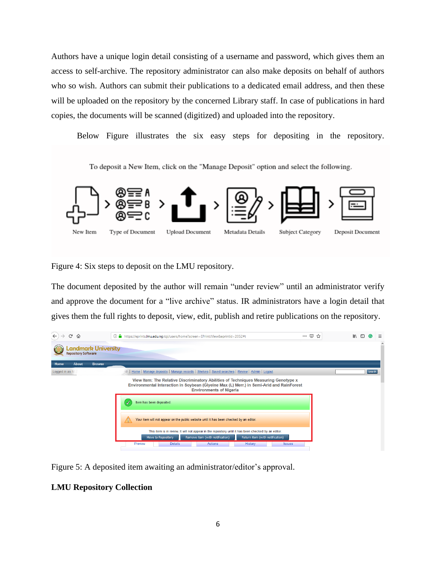Authors have a unique login detail consisting of a username and password, which gives them an access to self-archive. The repository administrator can also make deposits on behalf of authors who so wish. Authors can submit their publications to a dedicated email address, and then these will be uploaded on the repository by the concerned Library staff. In case of publications in hard copies, the documents will be scanned (digitized) and uploaded into the repository.

Below Figure illustrates the six easy steps for depositing in the repository.

To deposit a New Item, click on the "Manage Deposit" option and select the following. Type of Document **Upload Document** Metadata Details **Subject Category** Deposit Document New Item

Figure 4: Six steps to deposit on the LMU repository.

The document deposited by the author will remain "under review" until an administrator verify and approve the document for a "live archive" status. IR administrators have a login detail that gives them the full rights to deposit, view, edit, publish and retire publications on the repository.



Figure 5: A deposited item awaiting an administrator/editor's approval.

#### **LMU Repository Collection**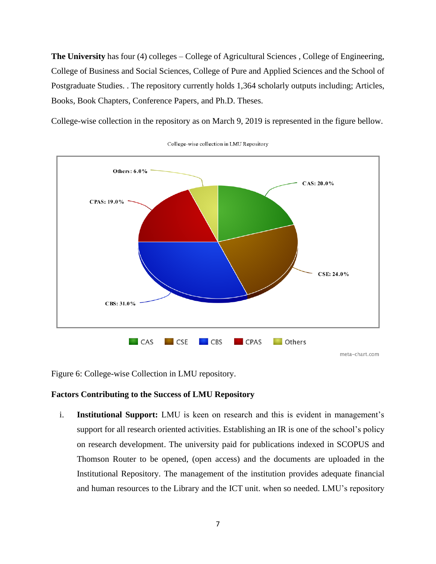**The University** has four (4) colleges – College of Agricultural Sciences , College of Engineering, College of Business and Social Sciences, College of Pure and Applied Sciences and the School of Postgraduate Studies. . The repository currently holds 1,364 scholarly outputs including; Articles, Books, Book Chapters, Conference Papers, and Ph.D. Theses.

College-wise collection in the repository as on March 9, 2019 is represented in the figure bellow.



College-wise collection in LMU Repository

Figure 6: College-wise Collection in LMU repository.

#### **Factors Contributing to the Success of LMU Repository**

i. **Institutional Support:** LMU is keen on research and this is evident in management's support for all research oriented activities. Establishing an IR is one of the school's policy on research development. The university paid for publications indexed in SCOPUS and Thomson Router to be opened, (open access) and the documents are uploaded in the Institutional Repository. The management of the institution provides adequate financial and human resources to the Library and the ICT unit. when so needed. LMU's repository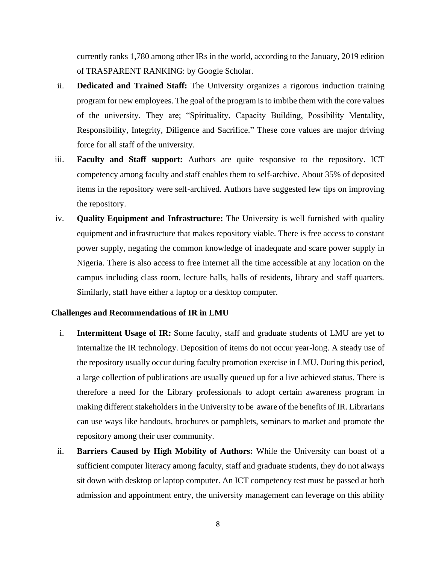currently ranks 1,780 among other IRs in the world, according to the January, 2019 edition of TRASPARENT RANKING: by Google Scholar.

- ii. **Dedicated and Trained Staff:** The University organizes a rigorous induction training program for new employees. The goal of the program is to imbibe them with the core values of the university. They are; "Spirituality, Capacity Building, Possibility Mentality, Responsibility, Integrity, Diligence and Sacrifice." These core values are major driving force for all staff of the university.
- iii. **Faculty and Staff support:** Authors are quite responsive to the repository. ICT competency among faculty and staff enables them to self-archive. About 35% of deposited items in the repository were self-archived. Authors have suggested few tips on improving the repository.
- iv. **Quality Equipment and Infrastructure:** The University is well furnished with quality equipment and infrastructure that makes repository viable. There is free access to constant power supply, negating the common knowledge of inadequate and scare power supply in Nigeria. There is also access to free internet all the time accessible at any location on the campus including class room, lecture halls, halls of residents, library and staff quarters. Similarly, staff have either a laptop or a desktop computer.

#### **Challenges and Recommendations of IR in LMU**

- i. **Intermittent Usage of IR:** Some faculty, staff and graduate students of LMU are yet to internalize the IR technology. Deposition of items do not occur year-long. A steady use of the repository usually occur during faculty promotion exercise in LMU. During this period, a large collection of publications are usually queued up for a live achieved status. There is therefore a need for the Library professionals to adopt certain awareness program in making different stakeholders in the University to be aware of the benefits of IR. Librarians can use ways like handouts, brochures or pamphlets, seminars to market and promote the repository among their user community.
- ii. **Barriers Caused by High Mobility of Authors:** While the University can boast of a sufficient computer literacy among faculty, staff and graduate students, they do not always sit down with desktop or laptop computer. An ICT competency test must be passed at both admission and appointment entry, the university management can leverage on this ability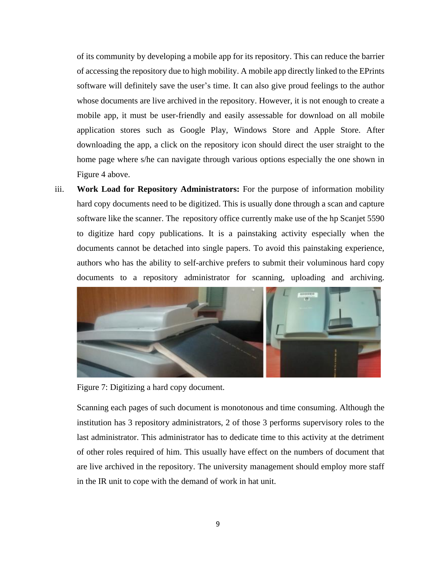of its community by developing a mobile app for its repository. This can reduce the barrier of accessing the repository due to high mobility. A mobile app directly linked to the EPrints software will definitely save the user's time. It can also give proud feelings to the author whose documents are live archived in the repository. However, it is not enough to create a mobile app, it must be user-friendly and easily assessable for download on all mobile application stores such as Google Play, Windows Store and Apple Store. After downloading the app, a click on the repository icon should direct the user straight to the home page where s/he can navigate through various options especially the one shown in Figure 4 above.

iii. **Work Load for Repository Administrators:** For the purpose of information mobility hard copy documents need to be digitized. This is usually done through a scan and capture software like the scanner. The repository office currently make use of the hp Scanjet 5590 to digitize hard copy publications. It is a painstaking activity especially when the documents cannot be detached into single papers. To avoid this painstaking experience, authors who has the ability to self-archive prefers to submit their voluminous hard copy documents to a repository administrator for scanning, uploading and archiving.



Figure 7: Digitizing a hard copy document.

Scanning each pages of such document is monotonous and time consuming. Although the institution has 3 repository administrators, 2 of those 3 performs supervisory roles to the last administrator. This administrator has to dedicate time to this activity at the detriment of other roles required of him. This usually have effect on the numbers of document that are live archived in the repository. The university management should employ more staff in the IR unit to cope with the demand of work in hat unit.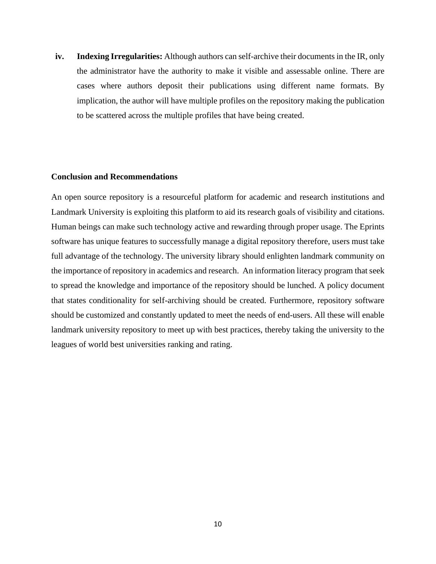**iv. Indexing Irregularities:** Although authors can self-archive their documents in the IR, only the administrator have the authority to make it visible and assessable online. There are cases where authors deposit their publications using different name formats. By implication, the author will have multiple profiles on the repository making the publication to be scattered across the multiple profiles that have being created.

#### **Conclusion and Recommendations**

An open source repository is a resourceful platform for academic and research institutions and Landmark University is exploiting this platform to aid its research goals of visibility and citations. Human beings can make such technology active and rewarding through proper usage. The Eprints software has unique features to successfully manage a digital repository therefore, users must take full advantage of the technology. The university library should enlighten landmark community on the importance of repository in academics and research. An information literacy program that seek to spread the knowledge and importance of the repository should be lunched. A policy document that states conditionality for self-archiving should be created. Furthermore, repository software should be customized and constantly updated to meet the needs of end-users. All these will enable landmark university repository to meet up with best practices, thereby taking the university to the leagues of world best universities ranking and rating.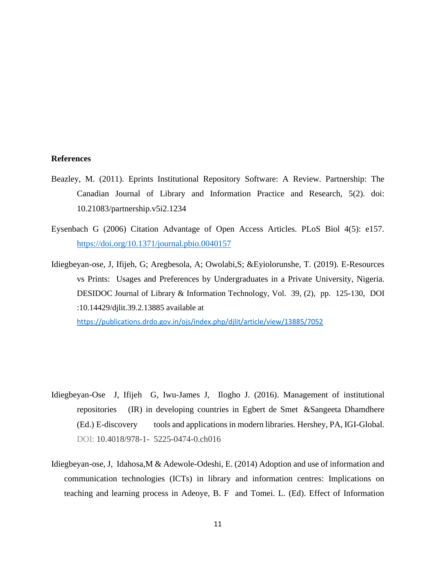#### **References**

- Beazley, M. (2011). Eprints Institutional Repository Software: A Review. Partnership: The Canadian Journal of Library and Information Practice and Research, 5(2). doi: 10.21083/partnership.v5i2.1234
- Eysenbach G (2006) Citation Advantage of Open Access Articles. PLoS Biol 4(5): e157. <https://doi.org/10.1371/journal.pbio.0040157>
- Idiegbeyan-ose, J, Ifijeh, G; Aregbesola, A; Owolabi,S; &Eyiolorunshe, T. (2019). E-Resources vs Prints: Usages and Preferences by Undergraduates in a Private University, Nigeria. DESIDOC Journal of Library & Information Technology, Vol. 39, (2), pp. 125-130, DOI :10.14429/djlit.39.2.13885 available at

<https://publications.drdo.gov.in/ojs/index.php/djlit/article/view/13885/7052>

- Idiegbeyan-Ose J, Ifijeh G, Iwu-James J, Ilogho J. (2016). Management of institutional repositories (IR) in developing countries in [Egbert de Smet](https://www.igi-global.com/affiliate/egbert-desmet/258618/) [&Sangeeta Dhamdhere](https://www.igi-global.com/affiliate/sangeeta-dhamdhere/280020/) (Ed.) E-discovery tools and applications in modern libraries. Hershey, PA, IGI-Global. DOI: 10.4018/978-1- 5225-0474-0.ch016
- Idiegbeyan-ose, J, Idahosa,M & Adewole-Odeshi, E. (2014) Adoption and use of information and communication technologies (ICTs) in library and information centres: Implications on teaching and learning process in Adeoye, B. F and Tomei. L. (Ed). Effect of Information